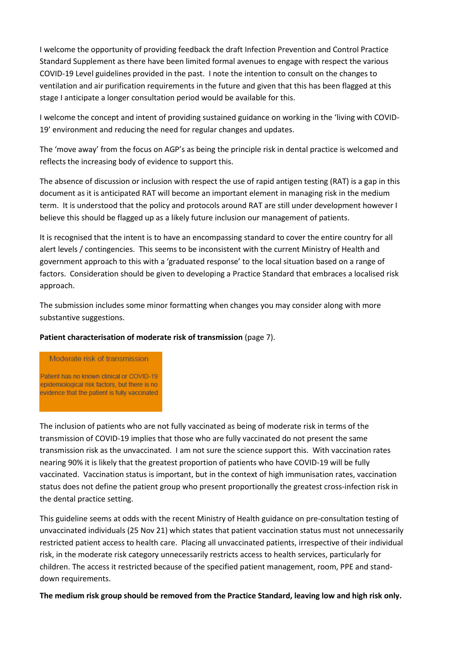I welcome the opportunity of providing feedback the draft Infection Prevention and Control Practice Standard Supplement as there have been limited formal avenues to engage with respect the various COVID-19 Level guidelines provided in the past. I note the intention to consult on the changes to ventilation and air purification requirements in the future and given that this has been flagged at this stage I anticipate a longer consultation period would be available for this.

I welcome the concept and intent of providing sustained guidance on working in the 'living with COVID-19' environment and reducing the need for regular changes and updates.

The 'move away' from the focus on AGP's as being the principle risk in dental practice is welcomed and reflects the increasing body of evidence to support this.

The absence of discussion or inclusion with respect the use of rapid antigen testing (RAT) is a gap in this document as it is anticipated RAT will become an important element in managing risk in the medium term. It is understood that the policy and protocols around RAT are still under development however I believe this should be flagged up as a likely future inclusion our management of patients.

It is recognised that the intent is to have an encompassing standard to cover the entire country for all alert levels / contingencies. This seems to be inconsistent with the current Ministry of Health and government approach to this with a 'graduated response' to the local situation based on a range of factors. Consideration should be given to developing a Practice Standard that embraces a localised risk approach.

The submission includes some minor formatting when changes you may consider along with more substantive suggestions.

## **Patient characterisation of moderate risk of transmission** (page 7).

Moderate risk of transmission Patient has no known clinical or COVID-19 epidemiological risk factors, but there is no

evidence that the patient is fully vaccinated

The inclusion of patients who are not fully vaccinated as being of moderate risk in terms of the transmission of COVID-19 implies that those who are fully vaccinated do not present the same transmission risk as the unvaccinated. I am not sure the science support this. With vaccination rates nearing 90% it is likely that the greatest proportion of patients who have COVID-19 will be fully vaccinated. Vaccination status is important, but in the context of high immunisation rates, vaccination status does not define the patient group who present proportionally the greatest cross-infection risk in the dental practice setting.

This guideline seems at odds with the recent Ministry of Health guidance on pre-consultation testing of unvaccinated individuals (25 Nov 21) which states that patient vaccination status must not unnecessarily restricted patient access to health care. Placing all unvaccinated patients, irrespective of their individual risk, in the moderate risk category unnecessarily restricts access to health services, particularly for children. The access it restricted because of the specified patient management, room, PPE and standdown requirements.

**The medium risk group should be removed from the Practice Standard, leaving low and high risk only.**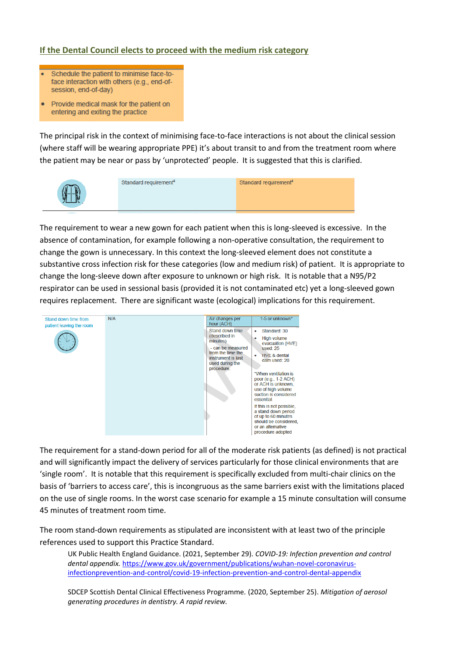## **If the Dental Council elects to proceed with the medium risk category**

- Schedule the patient to minimise face-toface interaction with others (e.g., end-ofsession, end-of-day)
- Provide medical mask for the patient on entering and exiting the practice

The principal risk in the context of minimising face-to-face interactions is not about the clinical session (where staff will be wearing appropriate PPE) it's about transit to and from the treatment room where the patient may be near or pass by 'unprotected' people. It is suggested that this is clarified.



Standard requirement<sup>4</sup>

Standard requirement<sup>4</sup>

The requirement to wear a new gown for each patient when this is long-sleeved is excessive. In the absence of contamination, for example following a non-operative consultation, the requirement to change the gown is unnecessary. In this context the long-sleeved element does not constitute a substantive cross infection risk for these categories (low and medium risk) of patient. It is appropriate to change the long-sleeve down after exposure to unknown or high risk. It is notable that a N95/P2 respirator can be used in sessional basis (provided it is not contaminated etc) yet a long-sleeved gown requires replacement. There are significant waste (ecological) implications for this requirement.



The requirement for a stand-down period for all of the moderate risk patients (as defined) is not practical and will significantly impact the delivery of services particularly for those clinical environments that are 'single room'. It is notable that this requirement is specifically excluded from multi-chair clinics on the basis of 'barriers to access care', this is incongruous as the same barriers exist with the limitations placed on the use of single rooms. In the worst case scenario for example a 15 minute consultation will consume 45 minutes of treatment room time.

The room stand-down requirements as stipulated are inconsistent with at least two of the principle references used to support this Practice Standard.

UK Public Health England Guidance. (2021, September 29). *COVID-19: Infection prevention and control dental appendix.* [https://www.gov.uk/government/publications/wuhan-novel-coronavirus](https://www.gov.uk/government/publications/wuhan-novel-coronavirus-infectionprevention-and-control/covid-19-infection-prevention-and-control-dental-appendix)[infectionprevention-and-control/covid-19-infection-prevention-and-control-dental-appendix](https://www.gov.uk/government/publications/wuhan-novel-coronavirus-infectionprevention-and-control/covid-19-infection-prevention-and-control-dental-appendix)

SDCEP Scottish Dental Clinical Effectiveness Programme*.* (2020, September 25). *Mitigation of aerosol generating procedures in dentistry. A rapid review.*